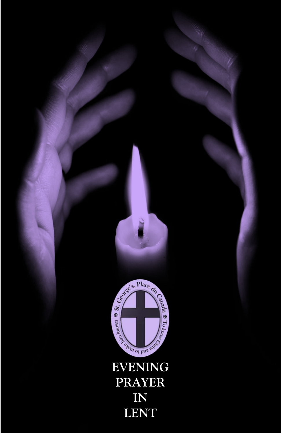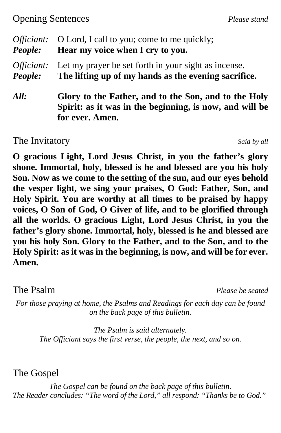## Opening Sentences *Please stand*

| Officiant: | O Lord, I call to you; come to me quickly;                                                                                         |  |
|------------|------------------------------------------------------------------------------------------------------------------------------------|--|
| People:    | Hear my voice when I cry to you.                                                                                                   |  |
| Officiant: | Let my prayer be set forth in your sight as incense.                                                                               |  |
| People:    | The lifting up of my hands as the evening sacrifice.                                                                               |  |
| All:       | Glory to the Father, and to the Son, and to the Holy<br>Spirit: as it was in the beginning, is now, and will be<br>for ever. Amen. |  |

The Invitatory *Said by all* 

**O gracious Light, Lord Jesus Christ, in you the father's glory shone. Immortal, holy, blessed is he and blessed are you his holy Son. Now as we come to the setting of the sun, and our eyes behold the vesper light, we sing your praises, O God: Father, Son, and Holy Spirit. You are worthy at all times to be praised by happy voices, O Son of God, O Giver of life, and to be glorified through all the worlds. O gracious Light, Lord Jesus Christ, in you the father's glory shone. Immortal, holy, blessed is he and blessed are you his holy Son. Glory to the Father, and to the Son, and to the Holy Spirit: as it was in the beginning, is now, and will be for ever. Amen.**

The Psalm *Please be seated*

*For those praying at home, the Psalms and Readings for each day can be found on the back page of this bulletin.*

*The Psalm is said alternately. The Officiant says the first verse, the people, the next, and so on.*

The Gospel

*The Gospel can be found on the back page of this bulletin. The Reader concludes: "The word of the Lord," all respond: "Thanks be to God."*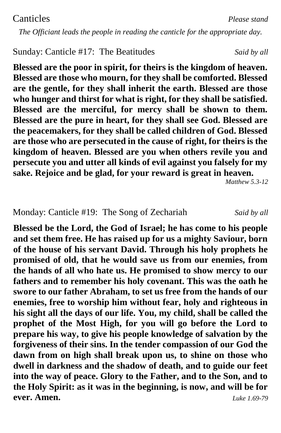*The Officiant leads the people in reading the canticle for the appropriate day.*

#### Sunday: Canticle #17: The Beatitudes*Said by all*

**Blessed are the poor in spirit, for theirs is the kingdom of heaven. Blessed are those who mourn, for they shall be comforted. Blessed are the gentle, for they shall inherit the earth. Blessed are those who hunger and thirst for what is right, for they shall be satisfied. Blessed are the merciful, for mercy shall be shown to them. Blessed are the pure in heart, for they shall see God. Blessed are the peacemakers, for they shall be called children of God. Blessed are those who are persecuted in the cause of right, for theirs is the kingdom of heaven. Blessed are you when others revile you and persecute you and utter all kinds of evil against you falsely for my sake. Rejoice and be glad, for your reward is great in heaven.**

*Matthew 5.3-12*

#### Monday: Canticle #19: The Song of Zechariah *Said by all*

**Blessed be the Lord, the God of Israel; he has come to his people and set them free. He has raised up for us a mighty Saviour, born of the house of his servant David. Through his holy prophets he promised of old, that he would save us from our enemies, from the hands of all who hate us. He promised to show mercy to our fathers and to remember his holy covenant. This was the oath he swore to our father Abraham, to set us free from the hands of our enemies, free to worship him without fear, holy and righteous in his sight all the days of our life. You, my child, shall be called the prophet of the Most High, for you will go before the Lord to prepare his way, to give his people knowledge of salvation by the forgiveness of their sins. In the tender compassion of our God the dawn from on high shall break upon us, to shine on those who dwell in darkness and the shadow of death, and to guide our feet into the way of peace. Glory to the Father, and to the Son, and to the Holy Spirit: as it was in the beginning, is now, and will be for ever. Amen.** *Luke 1.69-79*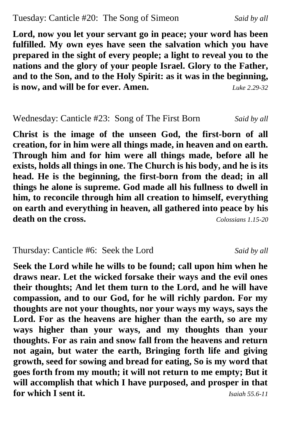### Tuesday: Canticle #20: The Song of Simeon *Said by all*

**Lord, now you let your servant go in peace; your word has been fulfilled. My own eyes have seen the salvation which you have prepared in the sight of every people; a light to reveal you to the nations and the glory of your people Israel. Glory to the Father, and to the Son, and to the Holy Spirit: as it was in the beginning, is now, and will be for ever. Amen.** *Luke 2.29-32*

### Wednesday: Canticle #23: Song of The First Born *Said by all*

**Christ is the image of the unseen God, the first-born of all creation, for in him were all things made, in heaven and on earth. Through him and for him were all things made, before all he exists, holds all things in one. The Church is his body, and he is its head. He is the beginning, the first-born from the dead; in all things he alone is supreme. God made all his fullness to dwell in him, to reconcile through him all creation to himself, everything on earth and everything in heaven, all gathered into peace by his death on the cross.** *Colossians 1.15-20*

## Thursday: Canticle #6: Seek the Lord *Said by all*

**Seek the Lord while he wills to be found; call upon him when he draws near. Let the wicked forsake their ways and the evil ones their thoughts; And let them turn to the Lord, and he will have compassion, and to our God, for he will richly pardon. For my thoughts are not your thoughts, nor your ways my ways, says the Lord. For as the heavens are higher than the earth, so are my ways higher than your ways, and my thoughts than your thoughts. For as rain and snow fall from the heavens and return not again, but water the earth, Bringing forth life and giving growth, seed for sowing and bread for eating, So is my word that goes forth from my mouth; it will not return to me empty; But it will accomplish that which I have purposed, and prosper in that for which I sent it.** *Isaiah 55.6-11*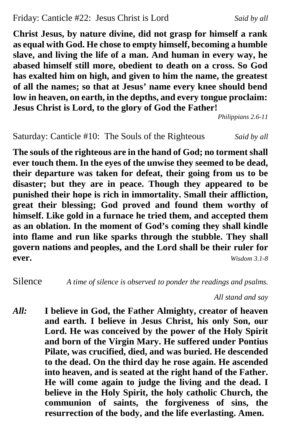**Christ Jesus, by nature divine, did not grasp for himself a rank as equal with God. He chose to empty himself, becoming a humble slave, and living the life of a man. And human in every way, he abased himself still more, obedient to death on a cross. So God has exalted him on high, and given to him the name, the greatest of all the names; so that at Jesus' name every knee should bend low in heaven, on earth, in the depths, and every tongue proclaim: Jesus Christ is Lord, to the glory of God the Father!**

*Philippians 2.6-11*

Saturday: Canticle #10: The Souls of the Righteous *Said by all*

**The souls of the righteous are in the hand of God; no torment shall ever touch them. In the eyes of the unwise they seemed to be dead, their departure was taken for defeat, their going from us to be disaster; but they are in peace. Though they appeared to be punished their hope is rich in immortality. Small their affliction, great their blessing; God proved and found them worthy of himself. Like gold in a furnace he tried them, and accepted them as an oblation. In the moment of God's coming they shall kindle into flame and run like sparks through the stubble. They shall govern nations and peoples, and the Lord shall be their ruler for ever.** *Wisdom 3.1-8*

Silence *A time of silence is observed to ponder the readings and psalms.*

*All stand and say*

*All:* **I believe in God, the Father Almighty, creator of heaven and earth. I believe in Jesus Christ, his only Son, our Lord. He was conceived by the power of the Holy Spirit and born of the Virgin Mary. He suffered under Pontius Pilate, was crucified, died, and was buried. He descended to the dead. On the third day he rose again. He ascended into heaven, and is seated at the right hand of the Father. He will come again to judge the living and the dead. I believe in the Holy Spirit, the holy catholic Church, the communion of saints, the forgiveness of sins, the resurrection of the body, and the life everlasting. Amen.**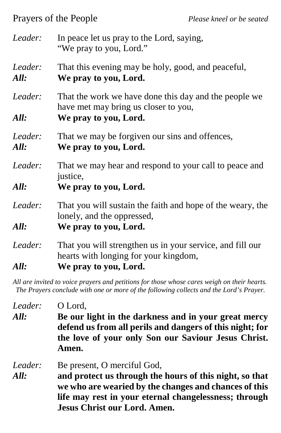Prayers of the People *Please kneel or be seated*

| Leader:         | In peace let us pray to the Lord, saying,<br>"We pray to you, Lord."                                                        |  |
|-----------------|-----------------------------------------------------------------------------------------------------------------------------|--|
| Leader:<br>All: | That this evening may be holy, good, and peaceful,<br>We pray to you, Lord.                                                 |  |
| Leader:<br>All: | That the work we have done this day and the people we<br>have met may bring us closer to you,<br>We pray to you, Lord.      |  |
| Leader:<br>All: | That we may be forgiven our sins and offences,<br>We pray to you, Lord.                                                     |  |
| Leader:<br>All: | That we may hear and respond to your call to peace and<br>justice,<br>We pray to you, Lord.                                 |  |
| Leader:<br>All: | That you will sustain the faith and hope of the weary, the<br>lonely, and the oppressed,<br>We pray to you, Lord.           |  |
| Leader:<br>All: | That you will strengthen us in your service, and fill our<br>hearts with longing for your kingdom,<br>We pray to you, Lord. |  |

*All are invited to voice prayers and petitions for those whose cares weigh on their hearts. The Prayers conclude with one or more of the following collects and the Lord's Prayer.*

*Leader:* O Lord, *All:* **Be our light in the darkness and in your great mercy defend us from all perils and dangers of this night; for the love of your only Son our Saviour Jesus Christ. Amen.** *Leader:* Be present, O merciful God, *All:* **and protect us through the hours of this night, so that** 

**we who are wearied by the changes and chances of this life may rest in your eternal changelessness; through Jesus Christ our Lord. Amen.**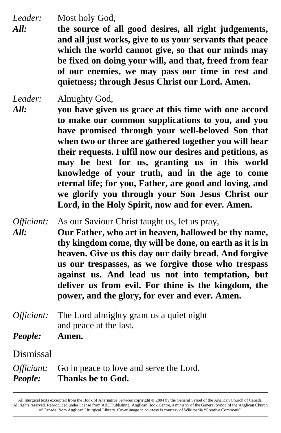*Leader:* Most holy God,

*All:* **the source of all good desires, all right judgements, and all just works, give to us your servants that peace which the world cannot give, so that our minds may be fixed on doing your will, and that, freed from fear of our enemies, we may pass our time in rest and quietness; through Jesus Christ our Lord. Amen.**

*Leader:* Almighty God, *All:* **you have given us grace at this time with one accord to make our common supplications to you, and you have promised through your well-beloved Son that when two or three are gathered together you will hear their requests. Fulfil now our desires and petitions, as may be best for us, granting us in this world knowledge of your truth, and in the age to come eternal life; for you, Father, are good and loving, and we glorify you through your Son Jesus Christ our Lord, in the Holy Spirit, now and for ever. Amen.**

*Officiant:* As our Saviour Christ taught us, let us pray, *All:* **Our Father, who art in heaven, hallowed be thy name, thy kingdom come, thy will be done, on earth as it is in heaven. Give us this day our daily bread. And forgive us our trespasses, as we forgive those who trespass against us. And lead us not into temptation, but deliver us from evil. For thine is the kingdom, the power, and the glory, for ever and ever. Amen.**

- *Officiant:* The Lord almighty grant us a quiet night and peace at the last.
- *People:* **Amen.**

Dismissal

*Officiant:* Go in peace to love and serve the Lord. *People:* **Thanks be to God.** 

All liturgical texts excerpted from the Book of Alternative Services copyright © 2004 by the General Synod of the Anglican Church of Canada. All rights reserved. Reproduced under license from ABC Publishing, Anglican Book Centre, a ministry of the General Synod of the Anglican Church of Canada, from Anglican Liturgical Library. Cover image in courtesy is courtesy of Wikimedia "Creative Commons". **\_\_\_\_\_\_\_\_\_\_\_\_\_\_\_\_\_\_\_\_\_\_\_\_\_\_\_\_\_\_\_\_\_\_\_\_\_\_\_\_\_\_\_\_\_\_\_\_\_\_\_\_\_\_\_\_\_\_\_\_\_\_\_\_\_\_\_\_\_\_\_\_\_\_\_\_\_\_\_\_\_\_\_\_\_\_\_\_\_\_\_\_\_\_\_\_\_\_\_\_\_\_\_\_\_\_\_\_\_\_\_\_\_\_\_\_\_\_\_\_**

**\_\_\_\_\_\_\_\_\_\_\_\_\_\_\_\_\_\_\_\_\_\_\_\_\_\_\_\_\_\_\_\_\_\_\_\_\_\_\_\_\_\_\_\_\_\_\_\_\_\_\_\_\_\_\_\_\_\_\_\_\_\_\_\_\_\_\_\_\_\_\_\_\_\_\_\_\_\_\_\_\_\_\_\_\_\_\_\_\_\_\_\_\_\_\_\_\_\_\_\_\_\_\_\_\_\_\_\_\_\_\_\_\_\_\_\_\_\_\_\_**